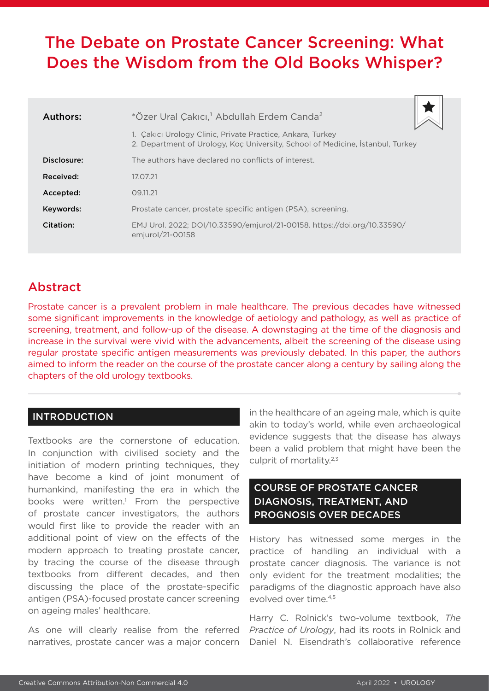# The Debate on Prostate Cancer Screening: What Does the Wisdom from the Old Books Whisper?

| Authors:    | *Özer Ural Çakıcı, <sup>1</sup> Abdullah Erdem Canda <sup>2</sup>                                                                            |
|-------------|----------------------------------------------------------------------------------------------------------------------------------------------|
|             | 1. Cakici Urology Clinic, Private Practice, Ankara, Turkey<br>2. Department of Urology, Koc University, School of Medicine, Istanbul, Turkey |
| Disclosure: | The authors have declared no conflicts of interest.                                                                                          |
| Received:   | 17.07.21                                                                                                                                     |
| Accepted:   | 09.11.21                                                                                                                                     |
| Keywords:   | Prostate cancer, prostate specific antigen (PSA), screening.                                                                                 |
| Citation:   | EMJ Urol. 2022; DOI/10.33590/emjurol/21-00158. https://doi.org/10.33590/<br>emjurol/21-00158                                                 |

## Abstract

Prostate cancer is a prevalent problem in male healthcare. The previous decades have witnessed some significant improvements in the knowledge of aetiology and pathology, as well as practice of screening, treatment, and follow-up of the disease. A downstaging at the time of the diagnosis and increase in the survival were vivid with the advancements, albeit the screening of the disease using regular prostate specific antigen measurements was previously debated. In this paper, the authors aimed to inform the reader on the course of the prostate cancer along a century by sailing along the chapters of the old urology textbooks.

#### INTRODUCTION

Textbooks are the cornerstone of education. In conjunction with civilised society and the initiation of modern printing techniques, they have become a kind of joint monument of humankind, manifesting the era in which the books were written.<sup>1</sup> From the perspective of prostate cancer investigators, the authors would first like to provide the reader with an additional point of view on the effects of the modern approach to treating prostate cancer, by tracing the course of the disease through textbooks from different decades, and then discussing the place of the prostate-specific antigen (PSA)-focused prostate cancer screening on ageing males' healthcare.

As one will clearly realise from the referred narratives, prostate cancer was a major concern

in the healthcare of an ageing male, which is quite akin to today's world, while even archaeological evidence suggests that the disease has always been a valid problem that might have been the culprit of mortality.2,3

### COURSE OF PROSTATE CANCER DIAGNOSIS, TREATMENT, AND PROGNOSIS OVER DECADES

History has witnessed some merges in the practice of handling an individual with a prostate cancer diagnosis. The variance is not only evident for the treatment modalities; the paradigms of the diagnostic approach have also evolved over time.4,5

Harry C. Rolnick's two-volume textbook, *The Practice of Urology*, had its roots in Rolnick and Daniel N. Eisendrath's collaborative reference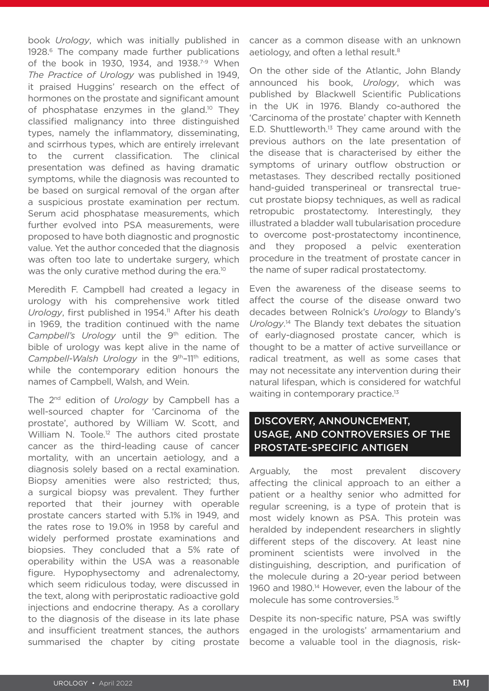book *Urology*, which was initially published in 1928.<sup>6</sup> The company made further publications of the book in 1930, 1934, and 1938.<sup>7-9</sup> When *The Practice of Urology* was published in 1949, it praised Huggins' research on the effect of hormones on the prostate and significant amount of phosphatase enzymes in the gland.<sup>10</sup> They classified malignancy into three distinguished types, namely the inflammatory, disseminating, and scirrhous types, which are entirely irrelevant to the current classification. The clinical presentation was defined as having dramatic symptoms, while the diagnosis was recounted to be based on surgical removal of the organ after a suspicious prostate examination per rectum. Serum acid phosphatase measurements, which further evolved into PSA measurements, were proposed to have both diagnostic and prognostic value. Yet the author conceded that the diagnosis was often too late to undertake surgery, which was the only curative method during the era.<sup>10</sup>

Meredith F. Campbell had created a legacy in urology with his comprehensive work titled *Urology*, first published in 1954.<sup>11</sup> After his death in 1969, the tradition continued with the name Campbell's Urology until the 9<sup>th</sup> edition. The bible of urology was kept alive in the name of *Campbell-Walsh Urology* in the 9<sup>th</sup>-11<sup>th</sup> editions, while the contemporary edition honours the names of Campbell, Walsh, and Wein.

The 2nd edition of *Urology* by Campbell has a well-sourced chapter for 'Carcinoma of the prostate', authored by William W. Scott, and William N. Toole.<sup>12</sup> The authors cited prostate cancer as the third-leading cause of cancer mortality, with an uncertain aetiology, and a diagnosis solely based on a rectal examination. Biopsy amenities were also restricted; thus, a surgical biopsy was prevalent. They further reported that their journey with operable prostate cancers started with 5.1% in 1949, and the rates rose to 19.0% in 1958 by careful and widely performed prostate examinations and biopsies. They concluded that a 5% rate of operability within the USA was a reasonable figure. Hypophysectomy and adrenalectomy, which seem ridiculous today, were discussed in the text, along with periprostatic radioactive gold injections and endocrine therapy. As a corollary to the diagnosis of the disease in its late phase and insufficient treatment stances, the authors summarised the chapter by citing prostate

cancer as a common disease with an unknown aetiology, and often a lethal result.<sup>8</sup>

On the other side of the Atlantic, John Blandy announced his book, *Urology*, which was published by Blackwell Scientific Publications in the UK in 1976. Blandy co-authored the 'Carcinoma of the prostate' chapter with Kenneth E.D. Shuttleworth. $13$  They came around with the previous authors on the late presentation of the disease that is characterised by either the symptoms of urinary outflow obstruction or metastases. They described rectally positioned hand-guided transperineal or transrectal truecut prostate biopsy techniques, as well as radical retropubic prostatectomy. Interestingly, they illustrated a bladder wall tubularisation procedure to overcome post-prostatectomy incontinence, and they proposed a pelvic exenteration procedure in the treatment of prostate cancer in the name of super radical prostatectomy.

Even the awareness of the disease seems to affect the course of the disease onward two decades between Rolnick's *Urology* to Blandy's *Urology*. 14 The Blandy text debates the situation of early-diagnosed prostate cancer, which is thought to be a matter of active surveillance or radical treatment, as well as some cases that may not necessitate any intervention during their natural lifespan, which is considered for watchful waiting in contemporary practice.<sup>13</sup>

#### DISCOVERY, ANNOUNCEMENT, USAGE, AND CONTROVERSIES OF THE PROSTATE-SPECIFIC ANTIGEN

Arguably, the most prevalent discovery affecting the clinical approach to an either a patient or a healthy senior who admitted for regular screening, is a type of protein that is most widely known as PSA. This protein was heralded by independent researchers in slightly different steps of the discovery. At least nine prominent scientists were involved in the distinguishing, description, and purification of the molecule during a 20-year period between 1960 and 1980.<sup>14</sup> However, even the labour of the molecule has some controversies.15

Despite its non-specific nature, PSA was swiftly engaged in the urologists' armamentarium and become a valuable tool in the diagnosis, risk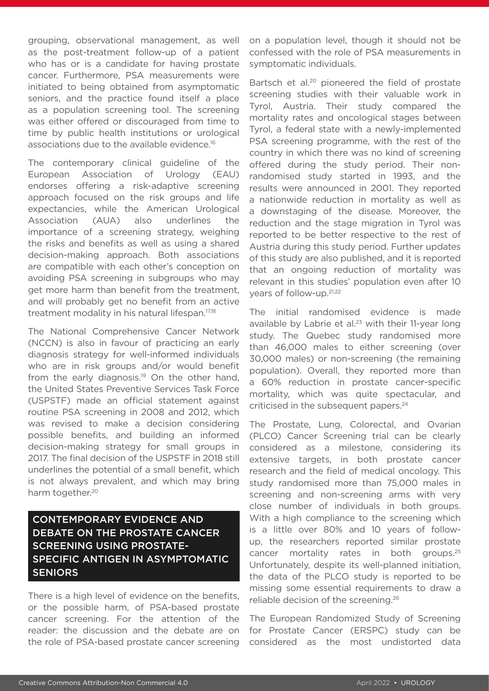grouping, observational management, as well as the post-treatment follow-up of a patient who has or is a candidate for having prostate cancer. Furthermore, PSA measurements were initiated to being obtained from asymptomatic seniors, and the practice found itself a place as a population screening tool. The screening was either offered or discouraged from time to time by public health institutions or urological associations due to the available evidence.<sup>16</sup>

The contemporary clinical guideline of the European Association of Urology (EAU) endorses offering a risk-adaptive screening approach focused on the risk groups and life expectancies, while the American Urological Association (AUA) also underlines the importance of a screening strategy, weighing the risks and benefits as well as using a shared decision-making approach. Both associations are compatible with each other's conception on avoiding PSA screening in subgroups who may get more harm than benefit from the treatment, and will probably get no benefit from an active treatment modality in his natural lifespan.17,18

The National Comprehensive Cancer Network (NCCN) is also in favour of practicing an early diagnosis strategy for well-informed individuals who are in risk groups and/or would benefit from the early diagnosis.<sup>19</sup> On the other hand, the United States Preventive Services Task Force (USPSTF) made an official statement against routine PSA screening in 2008 and 2012, which was revised to make a decision considering possible benefits, and building an informed decision-making strategy for small groups in 2017. The final decision of the USPSTF in 2018 still underlines the potential of a small benefit, which is not always prevalent, and which may bring harm together.<sup>20</sup>

#### CONTEMPORARY EVIDENCE AND DEBATE ON THE PROSTATE CANCER SCREENING USING PROSTATE-SPECIFIC ANTIGEN IN ASYMPTOMATIC SENIORS

There is a high level of evidence on the benefits, or the possible harm, of PSA-based prostate cancer screening. For the attention of the reader: the discussion and the debate are on the role of PSA-based prostate cancer screening

on a population level, though it should not be confessed with the role of PSA measurements in symptomatic individuals.

Bartsch et al.<sup>20</sup> pioneered the field of prostate screening studies with their valuable work in Tyrol, Austria. Their study compared the mortality rates and oncological stages between Tyrol, a federal state with a newly-implemented PSA screening programme, with the rest of the country in which there was no kind of screening offered during the study period. Their nonrandomised study started in 1993, and the results were announced in 2001. They reported a nationwide reduction in mortality as well as a downstaging of the disease. Moreover, the reduction and the stage migration in Tyrol was reported to be better respective to the rest of Austria during this study period. Further updates of this study are also published, and it is reported that an ongoing reduction of mortality was relevant in this studies' population even after 10 years of follow-up.21,22

The initial randomised evidence is made available by Labrie et al. $23$  with their 11-year long study. The Quebec study randomised more than 46,000 males to either screening (over 30,000 males) or non-screening (the remaining population). Overall, they reported more than a 60% reduction in prostate cancer-specific mortality, which was quite spectacular, and criticised in the subsequent papers.<sup>24</sup>

The Prostate, Lung, Colorectal, and Ovarian (PLCO) Cancer Screening trial can be clearly considered as a milestone, considering its extensive targets, in both prostate cancer research and the field of medical oncology. This study randomised more than 75,000 males in screening and non-screening arms with very close number of individuals in both groups. With a high compliance to the screening which is a little over 80% and 10 years of followup, the researchers reported similar prostate cancer mortality rates in both groups.25 Unfortunately, despite its well-planned initiation, the data of the PLCO study is reported to be missing some essential requirements to draw a reliable decision of the screening.26

The European Randomized Study of Screening for Prostate Cancer (ERSPC) study can be considered as the most undistorted data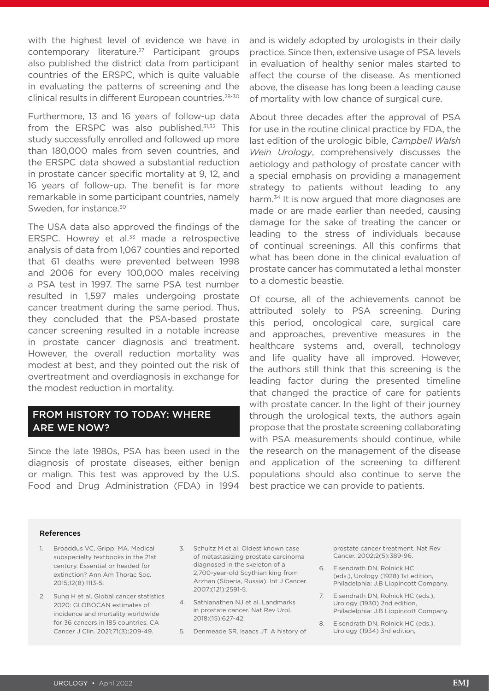with the highest level of evidence we have in contemporary literature.27 Participant groups also published the district data from participant countries of the ERSPC, which is quite valuable in evaluating the patterns of screening and the clinical results in different European countries.28-30

Furthermore, 13 and 16 years of follow-up data from the ERSPC was also published.<sup>31,32</sup> This study successfully enrolled and followed up more than 180,000 males from seven countries, and the ERSPC data showed a substantial reduction in prostate cancer specific mortality at 9, 12, and 16 years of follow-up. The benefit is far more remarkable in some participant countries, namely Sweden, for instance.<sup>30</sup>

The USA data also approved the findings of the ERSPC. Howrey et al.<sup>33</sup> made a retrospective analysis of data from 1,067 counties and reported that 61 deaths were prevented between 1998 and 2006 for every 100,000 males receiving a PSA test in 1997. The same PSA test number resulted in 1,597 males undergoing prostate cancer treatment during the same period. Thus, they concluded that the PSA-based prostate cancer screening resulted in a notable increase in prostate cancer diagnosis and treatment. However, the overall reduction mortality was modest at best, and they pointed out the risk of overtreatment and overdiagnosis in exchange for the modest reduction in mortality.

#### FROM HISTORY TO TODAY: WHERE ARE WE NOW?

Since the late 1980s, PSA has been used in the diagnosis of prostate diseases, either benign or malign. This test was approved by the U.S. Food and Drug Administration (FDA) in 1994

and is widely adopted by urologists in their daily practice. Since then, extensive usage of PSA levels in evaluation of healthy senior males started to affect the course of the disease. As mentioned above, the disease has long been a leading cause of mortality with low chance of surgical cure.

About three decades after the approval of PSA for use in the routine clinical practice by FDA, the last edition of the urologic bible, *Campbell Walsh Wein Urology*, comprehensively discusses the aetiology and pathology of prostate cancer with a special emphasis on providing a management strategy to patients without leading to any harm.<sup>34</sup> It is now argued that more diagnoses are made or are made earlier than needed, causing damage for the sake of treating the cancer or leading to the stress of individuals because of continual screenings. All this confirms that what has been done in the clinical evaluation of prostate cancer has commutated a lethal monster to a domestic beastie.

Of course, all of the achievements cannot be attributed solely to PSA screening. During this period, oncological care, surgical care and approaches, preventive measures in the healthcare systems and, overall, technology and life quality have all improved. However, the authors still think that this screening is the leading factor during the presented timeline that changed the practice of care for patients with prostate cancer. In the light of their journey through the urological texts, the authors again propose that the prostate screening collaborating with PSA measurements should continue, while the research on the management of the disease and application of the screening to different populations should also continue to serve the best practice we can provide to patients.

#### References

- 1. Broaddus VC, Grippi MA. Medical subspecialty textbooks in the 21st century. Essential or headed for extinction? Ann Am Thorac Soc. 2015;12(8):1113-5.
- 2. Sung H et al. Global cancer statistics 2020: GLOBOCAN estimates of incidence and mortality worldwide for 36 cancers in 185 countries. CA Cancer J Clin. 2021;71(3):209-49.
- 3. Schultz M et al. Oldest known case of metastasizing prostate carcinoma diagnosed in the skeleton of a 2,700-year-old Scythian king from Arzhan (Siberia, Russia). Int J Cancer. 2007;(121):2591-5.
- 4. Sathianathen NJ et al. Landmarks in prostate cancer. Nat Rev Urol. 2018;(15):627-42.
- 5. Denmeade SR, Isaacs JT. A history of

prostate cancer treatment. Nat Rev Cancer. 2002;2(5):389-96.

- 6. Eisendrath DN, Rolnick HC (eds.), Urology (1928) 1st edition, Philadelphia: J.B Lippincott Company.
- 7. Eisendrath DN, Rolnick HC (eds.), Urology (1930) 2nd edition, Philadelphia: J.B Lippincott Company.
- 8. Eisendrath DN, Rolnick HC (eds.), Urology (1934) 3rd edition,